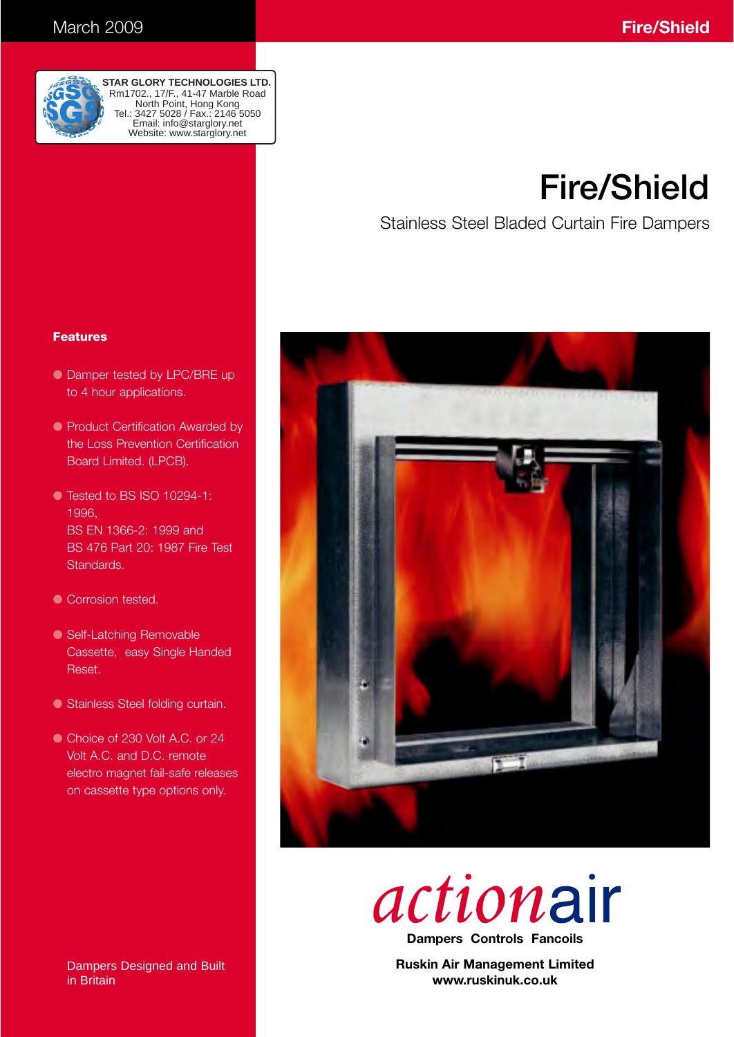

**STAR GLORY TECHNOLOGIES LTD.** Rm1702., 17/F., 41-47 Marble Road North Point, Hong Kong Tel.: 3427 5028 / Fax.: 2146 5050 Email: info@starglory.net Website: www.starglory.net

# **Fire/Shield**

Stainless Steel Bladed Curtain Fire Dampers

### **Features**

- Damper tested by LPC/BRE up to 4 hour applications.
- Product Certification Awarded by the Loss Prevention Certification Board Limited. (LPCB).
- Tested to BS ISO 10294-1: 1996, BS EN 1366-2: 1999 and BS 476 Part 20: 1987 Fire Test Standards.
- Corrosion tested.
- Self-Latching Removable Cassette, easy Single Handed Reset.
- Stainless Steel folding curtain.
- Choice of 230 Volt A.C. or 24 Volt A.C. and D.C. remote electro magnet fail-safe releases on cassette type options only.



actionair

**Dampers Controls Fancoils**

**Ruskin Air Management Limited www.ruskinuk.co.uk**

Dampers Designed and Built in Britain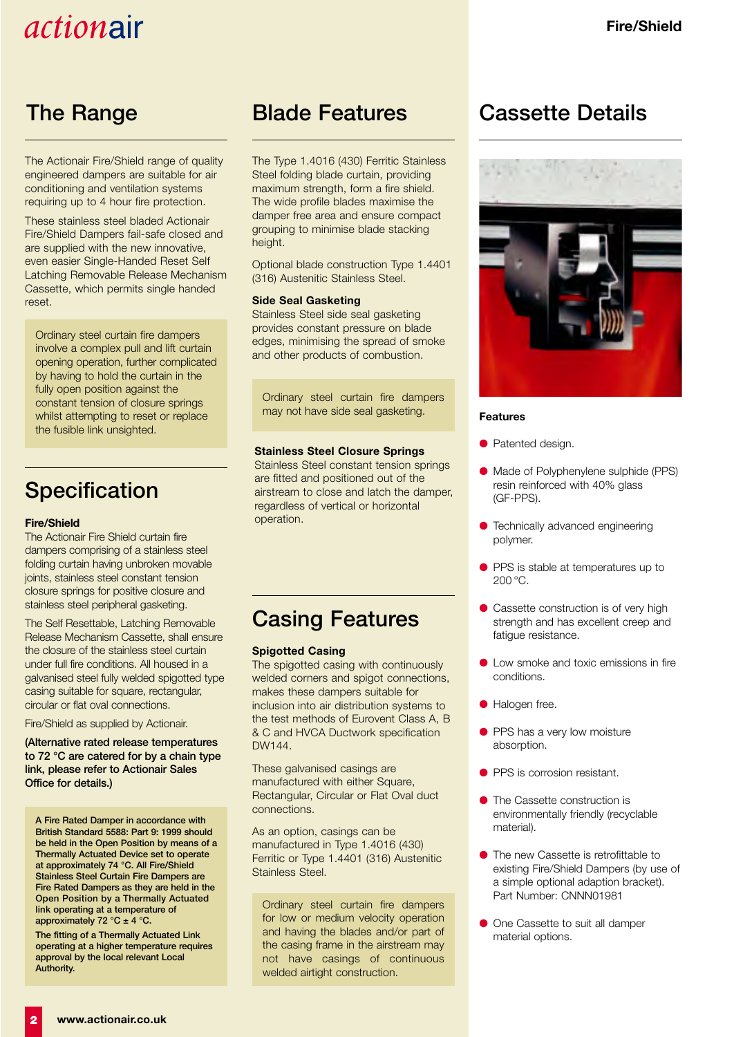The Actionair Fire/Shield range of quality engineered dampers are suitable for air conditioning and ventilation systems requiring up to 4 hour fire protection.

These stainless steel bladed Actionair Fire/Shield Dampers fail-safe closed and are supplied with the new innovative, even easier Single-Handed Reset Self Latching Removable Release Mechanism Cassette, which permits single handed reset.

Ordinary steel curtain fire dampers involve a complex pull and lift curtain opening operation, further complicated by having to hold the curtain in the fully open position against the constant tension of closure springs whilst attempting to reset or replace the fusible link unsighted.

### **Specification**

#### **Fire/Shield**

The Actionair Fire Shield curtain fire dampers comprising of a stainless steel folding curtain having unbroken movable joints, stainless steel constant tension closure springs for positive closure and stainless steel peripheral gasketing.

The Self Resettable, Latching Removable Release Mechanism Cassette, shall ensure the closure of the stainless steel curtain under full fire conditions. All housed in a galvanised steel fully welded spigotted type casing suitable for square, rectangular, circular or flat oval connections.

Fire/Shield as supplied by Actionair.

**(Alternative rated release temperatures to 72 °C are catered for by a chain type link, please refer to Actionair Sales Office for details.)**

**A Fire Rated Damper in accordance with British Standard 5588: Part 9: 1999 should be held in the Open Position by means of a Thermally Actuated Device set to operate at approximately 74 °C. All Fire/Shield Stainless Steel Curtain Fire Dampers are Fire Rated Dampers as they are held in the Open Position by a Thermally Actuated link operating at a temperature of approximately 72 °C ± 4 °C.**

**The fitting of a Thermally Actuated Link operating at a higher temperature requires approval by the local relevant Local Authority.**

### **The Range Blade Features**

The Type 1.4016 (430) Ferritic Stainless Steel folding blade curtain, providing maximum strength, form a fire shield. The wide profile blades maximise the damper free area and ensure compact grouping to minimise blade stacking height.

Optional blade construction Type 1.4401 (316) Austenitic Stainless Steel.

#### **Side Seal Gasketing**

Stainless Steel side seal gasketing provides constant pressure on blade edges, minimising the spread of smoke and other products of combustion.

Ordinary steel curtain fire dampers may not have side seal gasketing.

#### **Stainless Steel Closure Springs**

Stainless Steel constant tension springs are fitted and positioned out of the airstream to close and latch the damper, regardless of vertical or horizontal operation.

### **Casing Features**

#### **Spigotted Casing**

The spigotted casing with continuously welded corners and spigot connections, makes these dampers suitable for inclusion into air distribution systems to the test methods of Eurovent Class A, B & C and HVCA Ductwork specification DW144.

These galvanised casings are manufactured with either Square, Rectangular, Circular or Flat Oval duct connections.

As an option, casings can be manufactured in Type 1.4016 (430) Ferritic or Type 1.4401 (316) Austenitic Stainless Steel.

Ordinary steel curtain fire dampers for low or medium velocity operation and having the blades and/or part of the casing frame in the airstream may not have casings of continuous welded airtight construction.

### **Cassette Details**



#### **Features**

- Patented design.
- Made of Polyphenylene sulphide (PPS) resin reinforced with 40% glass (GF-PPS).
- Technically advanced engineering polymer.
- PPS is stable at temperatures up to 200 °C.
- Cassette construction is of very high strength and has excellent creep and fatigue resistance.
- Low smoke and toxic emissions in fire conditions.
- Halogen free.
- PPS has a very low moisture absorption.
- PPS is corrosion resistant.
- The Cassette construction is environmentally friendly (recyclable material).
- The new Cassette is retrofittable to existing Fire/Shield Dampers (by use of a simple optional adaption bracket). Part Number: CNNN01981
- One Cassette to suit all damper material options.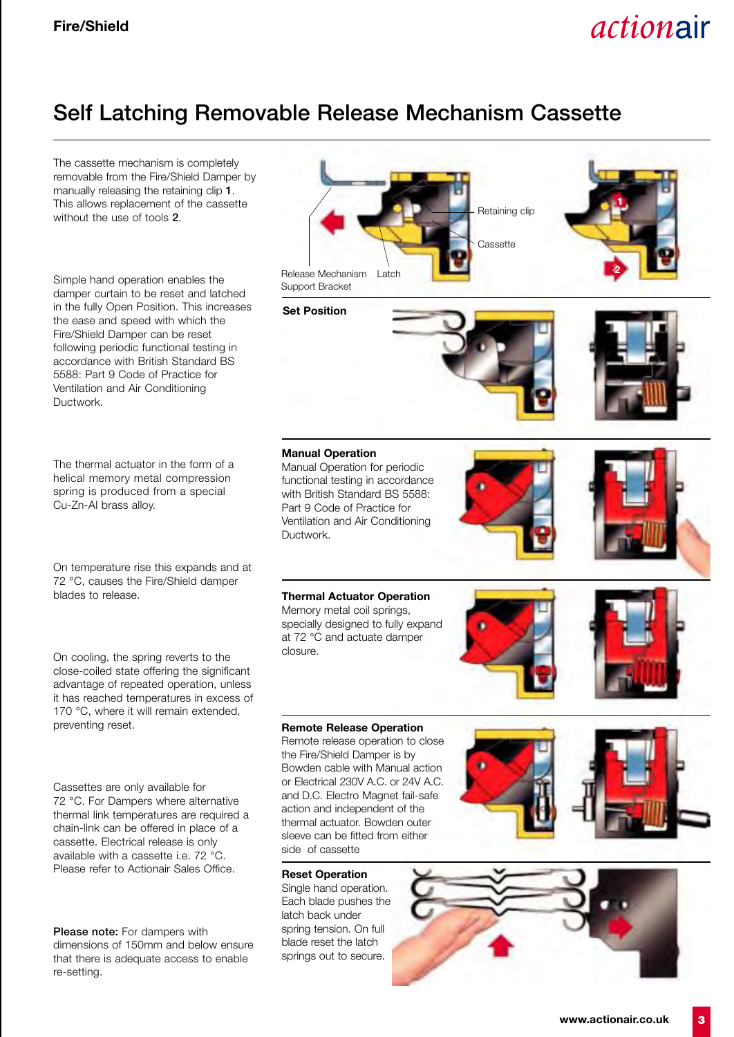### **Self Latching Removable Release Mechanism Cassette**

The cassette mechanism is completely removable from the Fire/Shield Damper by manually releasing the retaining clip **1**. This allows replacement of the cassette without the use of tools **2**. Simple hand operation enables the damper curtain to be reset and latched in the fully Open Position. This increases the ease and speed with which the Fire/Shield Damper can be reset following periodic functional testing in accordance with British Standard BS 5588: Part 9 Code of Practice for Ventilation and Air Conditioning Ductwork. The thermal actuator in the form of a helical memory metal compression spring is produced from a special Cu-Zn-AI brass alloy. On temperature rise this expands and at 72 °C, causes the Fire/Shield damper blades to release. On cooling, the spring reverts to the close-coiled state offering the significant advantage of repeated operation, unless it has reached temperatures in excess of 170 °C, where it will remain extended, preventing reset. Cassettes are only available for 72 °C. For Dampers where alternative thermal link temperatures are required a chain-link can be offered in place of a cassette. Electrical release is only available with a cassette i.e. 72 °C. Please refer to Actionair Sales Office. **Set Position Manual Operation** Manual Operation for periodic functional testing in accordance with British Standard BS 5588: Part 9 Code of Practice for Ventilation and Air Conditioning Ductwork. **Thermal Actuator Operation** Memory metal coil springs, specially designed to fully expand at 72 °C and actuate damper closure. **Remote Release Operation** Remote release operation to close the Fire/Shield Damper is by Bowden cable with Manual action or Electrical 230V A.C. or 24V A.C. and D.C. Electro Magnet fail-safe action and independent of the thermal actuator. Bowden outer sleeve can be fitted from either side of cassette **Reset Operation** Single hand operation. Each blade pushes the latch back under Release Mechanism Support Bracket Cassette Retaining clip Latch **1 2**

> spring tension. On full blade reset the latch springs out to secure.

**Please note:** For dampers with dimensions of 150mm and below ensure that there is adequate access to enable re-setting.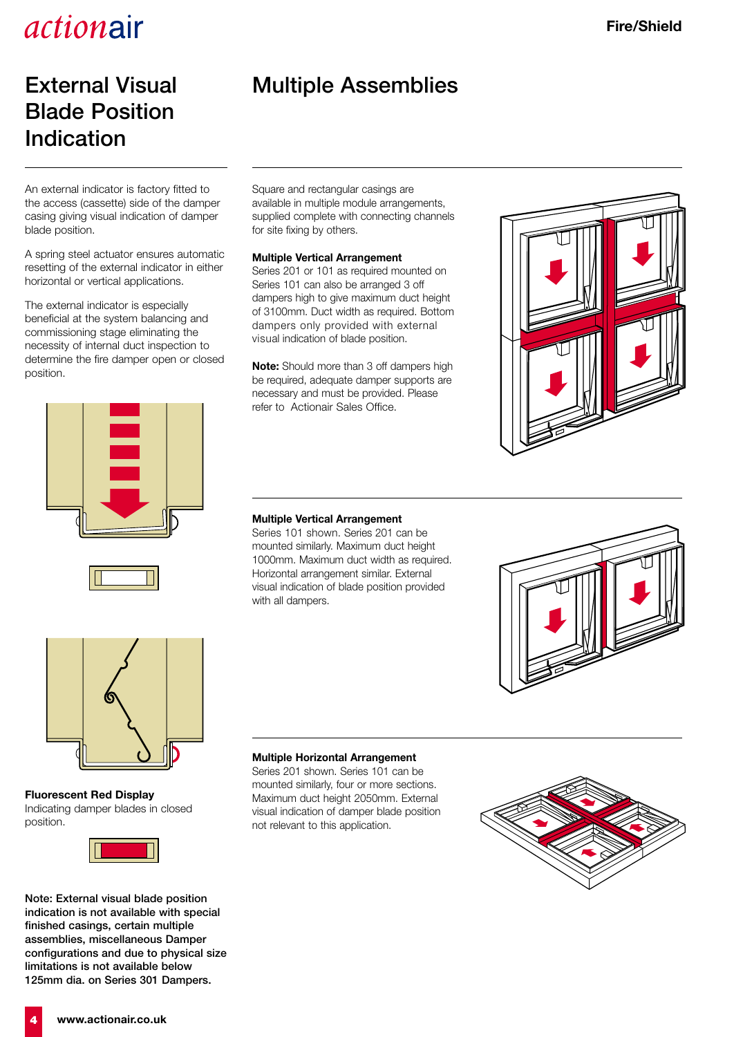### **External Visual Blade Position Indication**

An external indicator is factory fitted to the access (cassette) side of the damper casing giving visual indication of damper blade position.

A spring steel actuator ensures automatic resetting of the external indicator in either horizontal or vertical applications.

The external indicator is especially beneficial at the system balancing and commissioning stage eliminating the necessity of internal duct inspection to determine the fire damper open or closed position.





### **Multiple Assemblies**

Square and rectangular casings are available in multiple module arrangements, supplied complete with connecting channels for site fixing by others.

#### **Multiple Vertical Arrangement**

Series 201 or 101 as required mounted on Series 101 can also be arranged 3 off dampers high to give maximum duct height of 3100mm. Duct width as required. Bottom dampers only provided with external visual indication of blade position.

**Note:** Should more than 3 off dampers high be required, adequate damper supports are necessary and must be provided. Please refer to Actionair Sales Office.



#### **Multiple Vertical Arrangement**

Series 101 shown. Series 201 can be mounted similarly. Maximum duct height 1000mm. Maximum duct width as required. Horizontal arrangement similar. External visual indication of blade position provided with all dampers.





**Fluorescent Red Display** Indicating damper blades in closed position.



**Note: External visual blade position indication is not available with special finished casings, certain multiple assemblies, miscellaneous Damper configurations and due to physical size limitations is not available below 125mm dia. on Series 301 Dampers.**

#### **Multiple Horizontal Arrangement**

Series 201 shown. Series 101 can be mounted similarly, four or more sections. Maximum duct height 2050mm. External visual indication of damper blade position not relevant to this application.



**4 www.actionair.co.uk**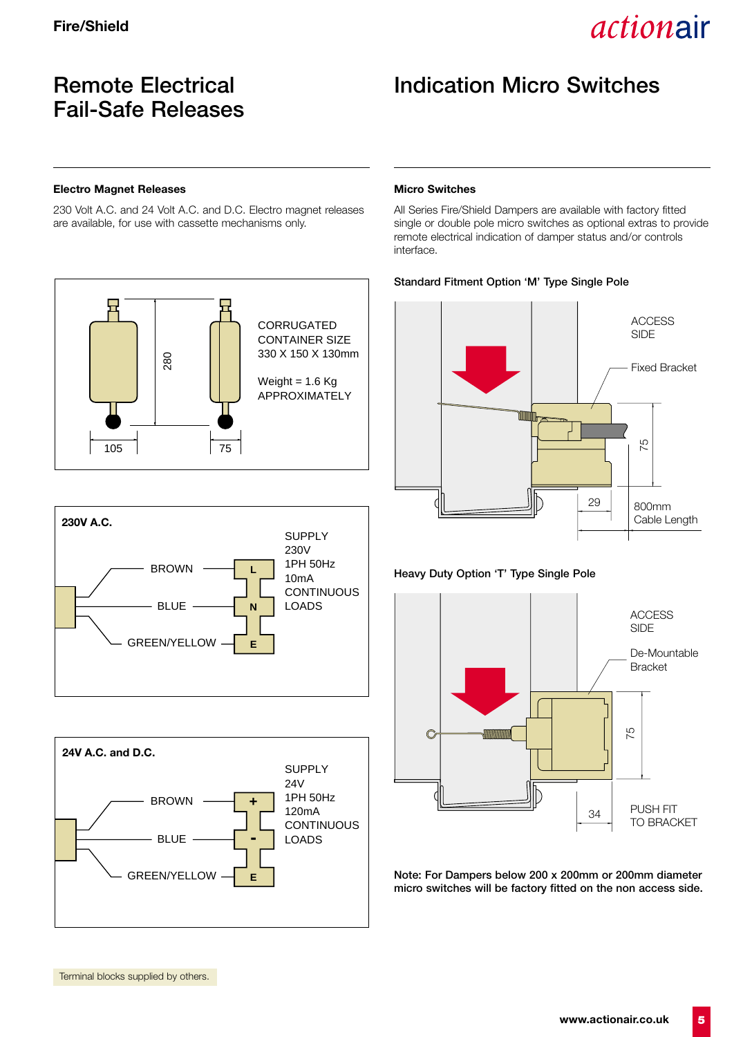### **Remote Electrical Fail-Safe Releases**

### **Indication Micro Switches**

#### **Electro Magnet Releases**

230 Volt A.C. and 24 Volt A.C. and D.C. Electro magnet releases are available, for use with cassette mechanisms only.







#### **Micro Switches**

All Series Fire/Shield Dampers are available with factory fitted single or double pole micro switches as optional extras to provide remote electrical indication of damper status and/or controls interface.

#### **Standard Fitment Option 'M' Type Single Pole**



#### **Heavy Duty Option 'T' Type Single Pole**



**Note: For Dampers below 200 x 200mm or 200mm diameter micro switches will be factory fitted on the non access side.**

Terminal blocks supplied by others.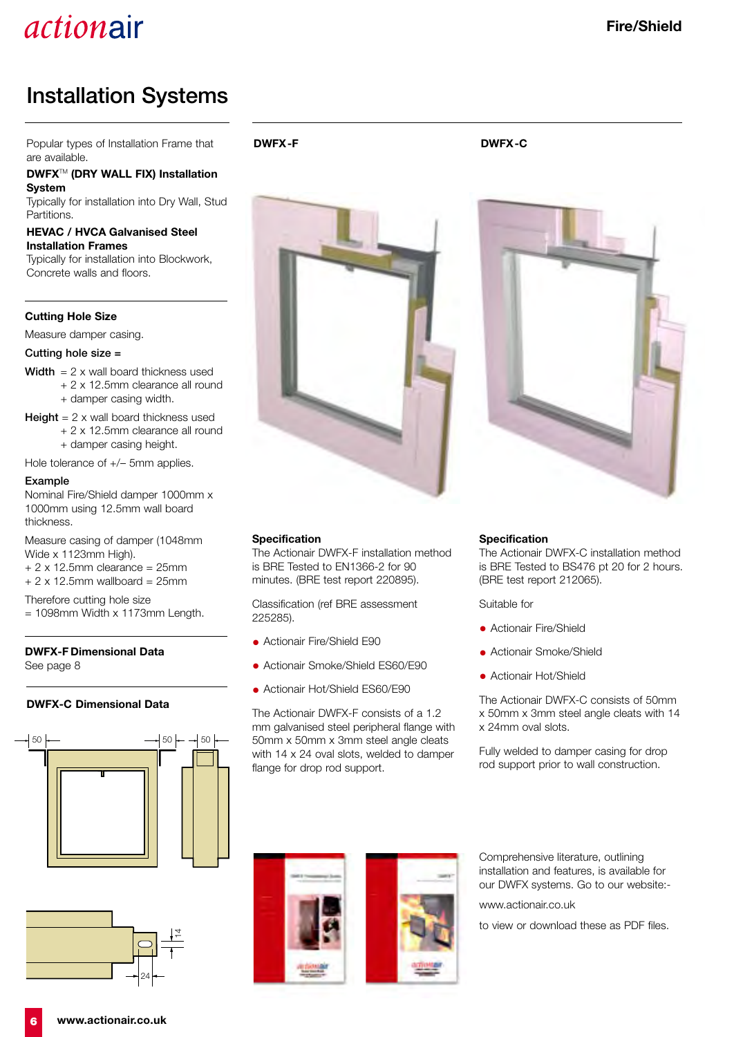### **Installation Systems**

Popular types of Installation Frame that are available.

**DWFX**TM **(DRY WALL FIX) Installation System**

Typically for installation into Dry Wall, Stud Partitions.

#### **HEVAC / HVCA Galvanised Steel Installation Frames**

Typically for installation into Blockwork, Concrete walls and floors.

#### **Cutting Hole Size**

Measure damper casing.

**Cutting hole size =**

- **Width** = 2 x wall board thickness used
	- + 2 x 12.5mm clearance all round
		- + damper casing width.
- **Height** = 2 x wall board thickness used + 2 x 12.5mm clearance all round + damper casing height.

Hole tolerance of +/– 5mm applies.

#### **Example**

Nominal Fire/Shield damper 1000mm x 1000mm using 12.5mm wall board thickness.

Measure casing of damper (1048mm Wide x 1123mm High).  $+ 2 \times 12.5$ mm clearance = 25mm

 $+ 2 \times 12.5$ mm wallboard = 25mm

Therefore cutting hole size

= 1098mm Width x 1173mm Length.

#### **DWFX-F Dimensional Data** See page 8

#### **DWFX-C Dimensional Data**





**DWFX-F DWFX-C**

#### **Specification**

The Actionair DWFX-F installation method is BRE Tested to EN1366-2 for 90 minutes. (BRE test report 220895).

Classification (ref BRE assessment 225285).

- Actionair Fire/Shield E90
- Actionair Smoke/Shield ES60/E90
- Actionair Hot/Shield ES60/E90

The Actionair DWFX-F consists of a 1.2 mm galvanised steel peripheral flange with 50mm x 50mm x 3mm steel angle cleats with 14 x 24 oval slots, welded to damper flange for drop rod support.



The Actionair DWFX-C installation method is BRE Tested to BS476 pt 20 for 2 hours. (BRE test report 212065).

Suitable for

- Actionair Fire/Shield
- Actionair Smoke/Shield
- Actionair Hot/Shield

The Actionair DWFX-C consists of 50mm x 50mm x 3mm steel angle cleats with 14 x 24mm oval slots.

Fully welded to damper casing for drop rod support prior to wall construction.





Comprehensive literature, outlining installation and features, is available for our DWFX systems. Go to our website:-

www.actionair.co.uk

to view or download these as PDF files.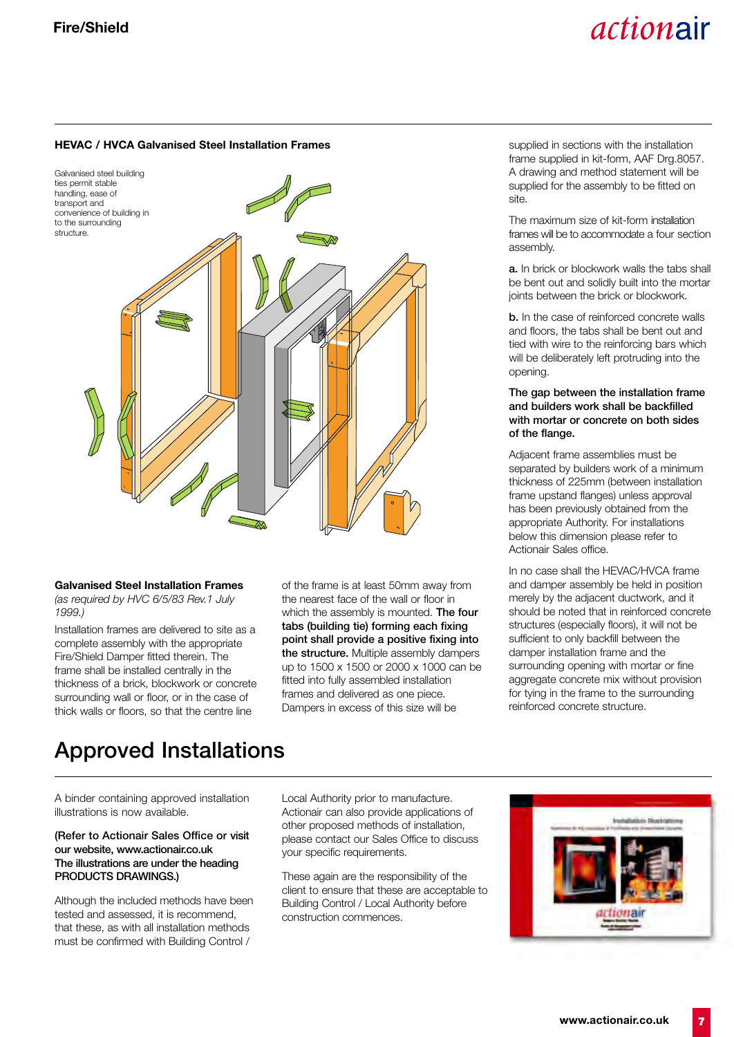#### **HEVAC / HVCA Galvanised Steel Installation Frames**



#### **Galvanised Steel Installation Frames**

*(as required by HVC 6/5/83 Rev.1 July 1999.)*

Installation frames are delivered to site as a complete assembly with the appropriate Fire/Shield Damper fitted therein. The frame shall be installed centrally in the thickness of a brick, blockwork or concrete surrounding wall or floor, or in the case of thick walls or floors, so that the centre line

of the frame is at least 50mm away from the nearest face of the wall or floor in which the assembly is mounted. **The four tabs (building tie) forming each fixing point shall provide a positive fixing into the structure.** Multiple assembly dampers up to 1500 x 1500 or 2000 x 1000 can be fitted into fully assembled installation frames and delivered as one piece. Dampers in excess of this size will be

supplied in sections with the installation frame supplied in kit-form, AAF Drg.8057. A drawing and method statement will be supplied for the assembly to be fitted on site.

The maximum size of kit-form installation frames will be to accommodate a four section assembly.

**a.** In brick or blockwork walls the tabs shall be bent out and solidly built into the mortar joints between the brick or blockwork.

**b.** In the case of reinforced concrete walls and floors, the tabs shall be bent out and tied with wire to the reinforcing bars which will be deliberately left protruding into the opening.

#### **The gap between the installation frame and builders work shall be backfilled with mortar or concrete on both sides of the flange.**

Adjacent frame assemblies must be separated by builders work of a minimum thickness of 225mm (between installation frame upstand flanges) unless approval has been previously obtained from the appropriate Authority. For installations below this dimension please refer to Actionair Sales office.

In no case shall the HEVAC/HVCA frame and damper assembly be held in position merely by the adjacent ductwork, and it should be noted that in reinforced concrete structures (especially floors), it will not be sufficient to only backfill between the damper installation frame and the surrounding opening with mortar or fine aggregate concrete mix without provision for tying in the frame to the surrounding reinforced concrete structure.

### **Approved Installations**

A binder containing approved installation illustrations is now available.

#### **(Refer to Actionair Sales Office or visit our website, www.actionair.co.uk The illustrations are under the heading PRODUCTS DRAWINGS.)**

Although the included methods have been tested and assessed, it is recommend, that these, as with all installation methods must be confirmed with Building Control /

Local Authority prior to manufacture. Actionair can also provide applications of other proposed methods of installation, please contact our Sales Office to discuss your specific requirements.

These again are the responsibility of the client to ensure that these are acceptable to Building Control / Local Authority before construction commences.

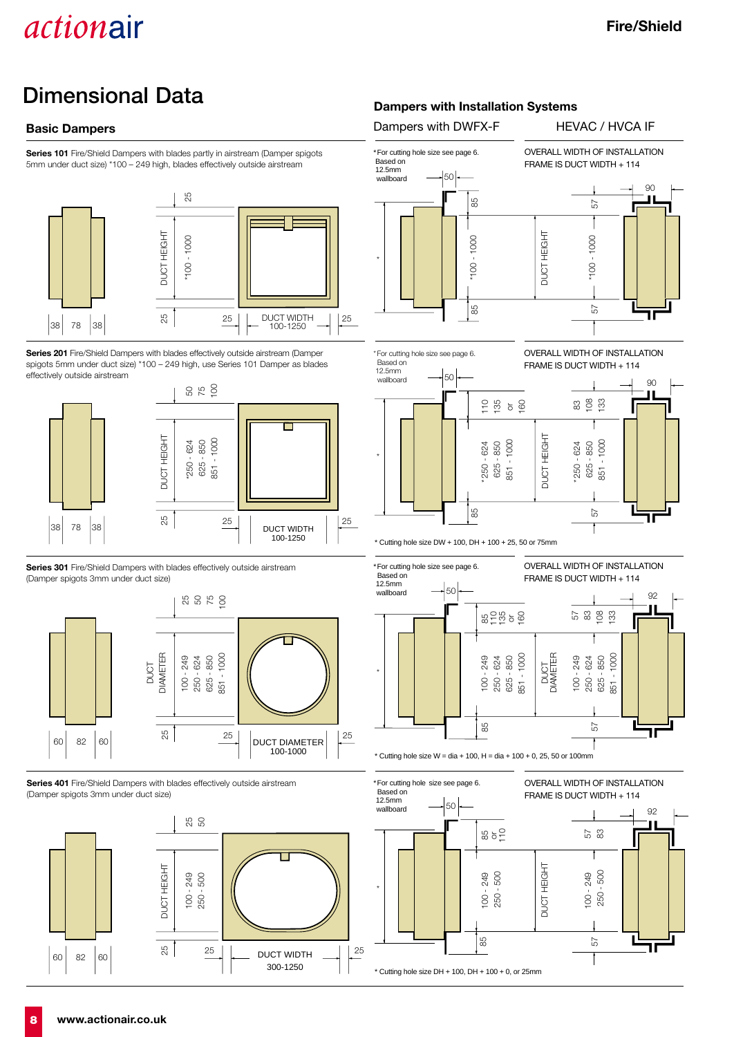## **Dimensional Data**

**Series 101** Fire/Shield Dampers with blades partly in airstream (Damper spigots 5mm under duct size) \*100 – 249 high, blades effectively outside airstream



**Series 201** Fire/Shield Dampers with blades effectively outside airstream (Damper spigots 5mm under duct size) \*100 – 249 high, use Series 101 Damper as blades effectively outside airstream



**Series 301** Fire/Shield Dampers with blades effectively outside airstream (Damper spigots 3mm under duct size)



**Series 401** Fire/Shield Dampers with blades effectively outside airstream (Damper spigots 3mm under duct size)



### **Dampers with Installation Systems**

**Basic Dampers Dampers Dampers** with DWFX-F **HEVAC / HVCA IF** 





 $*$  Cutting hole size DW + 100, DH + 100 + 25, 50 or 75mm



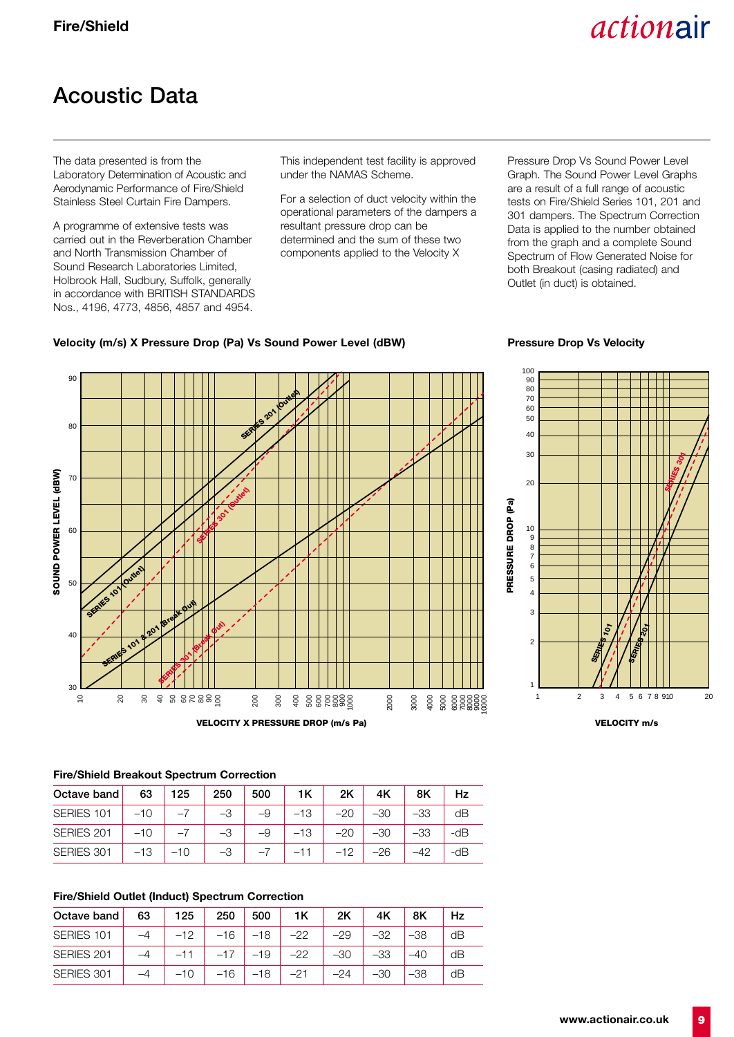## **Acoustic Data**

The data presented is from the Laboratory Determination of Acoustic and Aerodynamic Performance of Fire/Shield Stainless Steel Curtain Fire Dampers.

A programme of extensive tests was carried out in the Reverberation Chamber and North Transmission Chamber of Sound Research Laboratories Limited, Holbrook Hall, Sudbury, Suffolk, generally in accordance with BRITISH STANDARDS Nos., 4196, 4773, 4856, 4857 and 4954.

This independent test facility is approved under the NAMAS Scheme.

For a selection of duct velocity within the operational parameters of the dampers a resultant pressure drop can be determined and the sum of these two components applied to the Velocity X

Pressure Drop Vs Sound Power Level Graph. The Sound Power Level Graphs are a result of a full range of acoustic tests on Fire/Shield Series 101, 201 and 301 dampers. The Spectrum Correction Data is applied to the number obtained from the graph and a complete Sound Spectrum of Flow Generated Noise for both Breakout (casing radiated) and Outlet (in duct) is obtained.

### **Velocity (m/s) X Pressure Drop (Pa) Vs Sound Power Level (dBW) Pressure Drop Vs Velocity**





#### **Fire/Shield Breakout Spectrum Correction**

| Octave band 63 125                                                                                  |             |  | 250 500 1K |                                                           | 2K | 4K - |        | Hz    |
|-----------------------------------------------------------------------------------------------------|-------------|--|------------|-----------------------------------------------------------|----|------|--------|-------|
| SERIES 101   $-10$   $-7$   $-3$   $-9$   $-13$   $-20$   $-30$                                     |             |  |            |                                                           |    |      | $ -33$ | dB    |
| SERIES 201 $\vert$ -10 $\vert$ -7 $\vert$ -3 $\vert$ -9 $\vert$ -13 $\vert$ -20 $\vert$ -30 $\vert$ |             |  |            |                                                           |    |      | $ -33$ | $-dB$ |
| SERIES 301                                                                                          | $-13$ $-10$ |  |            | $\begin{vmatrix} -3 & -7 & -11 & -12 & -26 \end{vmatrix}$ |    |      | $-42$  | -dB   |

#### **Fire/Shield Outlet (Induct) Spectrum Correction**

| Octave band | 63 | 125   | 250   | 500     | 1K    | 2K    | 4K    | 8K  |    |
|-------------|----|-------|-------|---------|-------|-------|-------|-----|----|
| SERIES 101  |    | $-12$ | $-16$ | $  -18$ | $-22$ | $-29$ | $-32$ | -38 | dB |
| SERIES 201  |    |       | $-17$ | $  -19$ | $-22$ | $-30$ | $-33$ |     | dB |
| SERIES 301  |    |       | $-16$ | $-18$   | $-21$ | -24   | -30   |     | dB |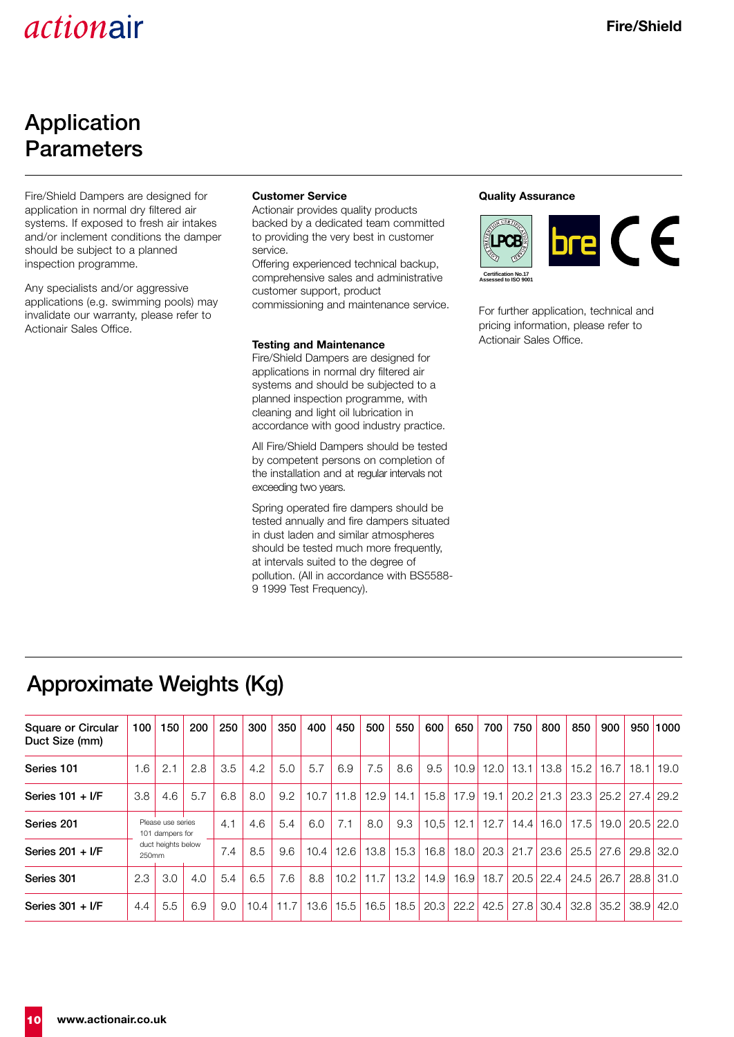### **Application Parameters**

Fire/Shield Dampers are designed for application in normal dry filtered air systems. If exposed to fresh air intakes and/or inclement conditions the damper should be subject to a planned inspection programme.

Any specialists and/or aggressive applications (e.g. swimming pools) may invalidate our warranty, please refer to Actionair Sales Office.

#### **Customer Service**

Actionair provides quality products backed by a dedicated team committed to providing the very best in customer service.

Offering experienced technical backup, comprehensive sales and administrative customer support, product commissioning and maintenance service.

#### **Testing and Maintenance**

Fire/Shield Dampers are designed for applications in normal dry filtered air systems and should be subjected to a planned inspection programme, with cleaning and light oil lubrication in accordance with good industry practice.

All Fire/Shield Dampers should be tested by competent persons on completion of the installation and at regular intervals not exceeding two years.

Spring operated fire dampers should be tested annually and fire dampers situated in dust laden and similar atmospheres should be tested much more frequently, at intervals suited to the degree of pollution. (All in accordance with BS5588- 9 1999 Test Frequency).

#### **Quality Assurance**



For further application, technical and pricing information, please refer to Actionair Sales Office.

## **Approximate Weights (Kg)**

| <b>Square or Circular</b><br>Duct Size (mm) | 100 <sub>1</sub>            | 150                                  | 200 | 250 | 300  | 350  | 400  | 450  | 500  | 550  | 600  | 650         | 700  | 750 | 800                | 850                              | 900           | 950 1000           |
|---------------------------------------------|-----------------------------|--------------------------------------|-----|-----|------|------|------|------|------|------|------|-------------|------|-----|--------------------|----------------------------------|---------------|--------------------|
| Series 101                                  | 1.6                         | 2.1                                  | 2.8 | 3.5 | 4.2  | 5.0  | 5.7  | 6.9  | 7.5  | 8.6  | 9.5  | 10.9        |      |     | 12.0   13.1   13.8 |                                  | $15.2$   16.7 | $18.1$ 19.0        |
| Series $101 + I/F$                          | 3.8                         | 4.6                                  | 5.7 | 6.8 | 8.0  | 9.2  | 10.7 | 11.8 | 12.9 | 14.1 |      | 15.8 17.9   | 19.1 |     |                    | 20.2 21.3 23.3 25.2 27.4 29.2    |               |                    |
| Series 201                                  |                             | Please use series<br>101 dampers for |     |     | 4.6  | 5.4  | 6.0  | 7.1  | 8.0  | 9.3  |      | $10.5$ 12.1 | 12.7 |     |                    | 14.4   16.0   17.5               |               | $19.0$ 20.5 $22.0$ |
| Series $201 + I/F$                          | duct heights below<br>250mm |                                      |     | 7.4 | 8.5  | 9.6  | 10.4 | 12.6 | 13.8 | 15.3 | 16.8 | 18.0        |      |     | 20.3 21.7 23.6     | $25.5$ 27.6                      |               | $29.8$ 32.0        |
| Series 301                                  | 2.3                         | 3.0                                  | 4.0 | 5.4 | 6.5  | 7.6  | 8.8  | 10.2 | 11.7 | 13.2 | 14.9 | 16.9        | 18.7 |     | $20.5$ 22.4        | 24.5                             | 26.7          | $28.8$ 31.0        |
| Series $301 + I/F$                          | 4.4                         | 5.5                                  | 6.9 | 9.0 | 10.4 | 11.7 | 13.6 | 15.5 | 16.5 | 18.5 | 20.3 | 22.2        |      |     |                    | 42.5   27.8   30.4   32.8   35.2 |               | $38.9$ 42.0        |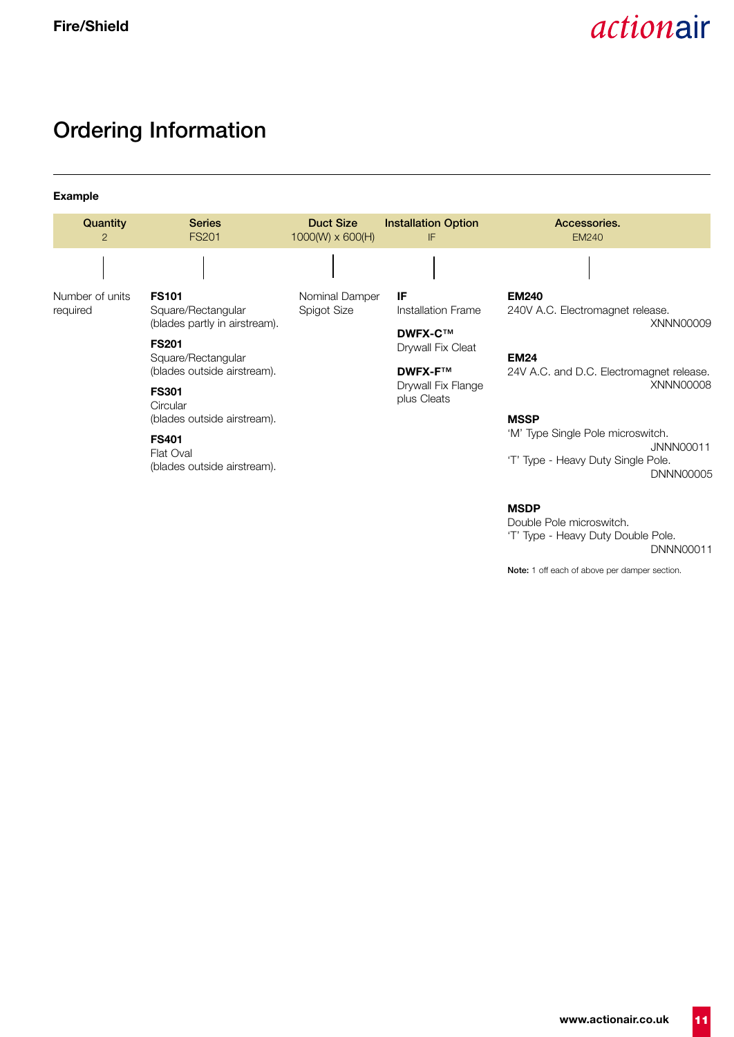XNNN00009

XNNN00008

### **Ordering Information**

**Example** Number of units required **Quantity Series Duct Size Installation Option Accessories.**<br>
2 FS201 1000MV x 600(H) IF EM240 2 **FS201** 1000(W) x 600(H) IF EM240 Nominal Damper Spigot Size **FS101** Square/Rectangular (blades partly in airstream). **FS201** Square/Rectangular (blades outside airstream). **FS301 Circular** (blades outside airstream). **EM240** 240V A.C. Electromagnet release. **EM24** 24V A.C. and D.C. Electromagnet release. **MSSP IF** Installation Frame **DWFX-C™** Drywall Fix Cleat **DWFX-F™** Drywall Fix Flange plus Cleats

### **FS401**

Flat Oval (blades outside airstream). 'M' Type Single Pole microswitch.

JNNN00011 'T' Type - Heavy Duty Single Pole. DNNN00005

#### **MSDP**

Double Pole microswitch. 'T' Type - Heavy Duty Double Pole. DNNN00011

**Note:** 1 off each of above per damper section.